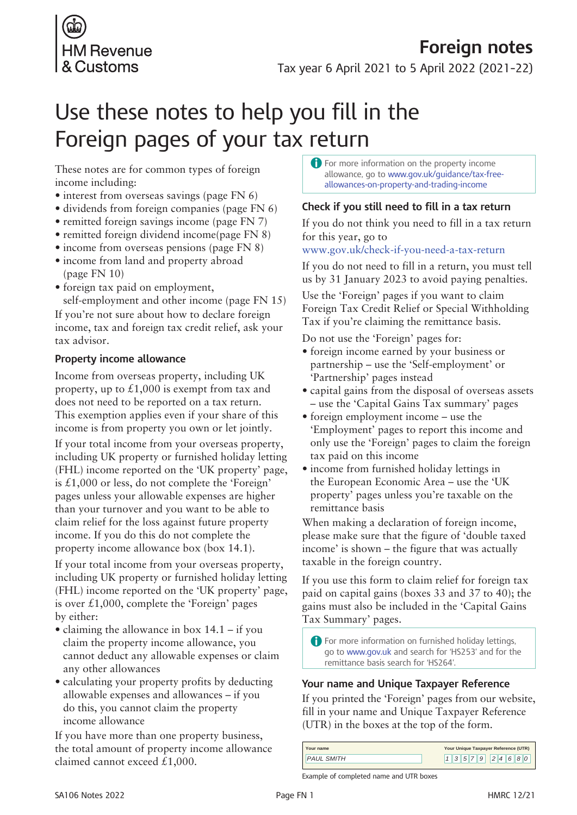

# Use these notes to help you fill in the Foreign pages of your tax return

These notes are for common types of foreign income including:

- interest from overseas savings (page FN 6)
- dividends from foreign companies (page FN 6)
- remitted foreign savings income (page FN 7)
- remitted foreign dividend income(page FN 8)
- income from overseas pensions (page FN 8)
- income from land and property abroad (page FN 10)
- foreign tax paid on employment,

self-employment and other income (page FN 15) If you're not sure about how to declare foreign income, tax and foreign tax credit relief, ask your tax advisor.

## **Property income allowance**

Income from overseas property, including UK property, up to  $\pounds1,000$  is exempt from tax and does not need to be reported on a tax return. This exemption applies even if your share of this income is from property you own or let jointly.

If your total income from your overseas property, including UK property or furnished holiday letting (FHL) income reported on the 'UK property' page, is £1,000 or less, do not complete the 'Foreign' pages unless your allowable expenses are higher than your turnover and you want to be able to claim relief for the loss against future property income. If you do this do not complete the property income allowance box (box 14.1).

If your total income from your overseas property, including UK property or furnished holiday letting (FHL) income reported on the 'UK property' page, is over  $\pounds1,000$ , complete the 'Foreign' pages by either:

- claiming the allowance in box  $14.1 if$  you claim the property income allowance, you cannot deduct any allowable expenses or claim any other allowances
- calculating your property profits by deducting allowable expenses and allowances – if you do this, you cannot claim the property income allowance

If you have more than one property business, the total amount of property income allowance claimed cannot exceed £1,000.

A For more information on the property income allowance, go to www.gov.uk/guidance/tax-freeallowances-on-property-and-trading-income

# **Check if you still need to fill in a tax return**

If you do not think you need to fill in a tax return for this year, go to

www.gov.uk/check-if-you-need-a-tax-return

If you do not need to fill in a return, you must tell us by 31 January 2023 to avoid paying penalties.

Use the '[Foreign'](http://www.gov.uk/government/publications/self-assessment-foreign-sa106) pages if you want to claim Foreign Tax Credit Relief or Special Withholding Tax if you're claiming the remittance basis.

Do not use the 'Foreign' pages for:

- foreign income earned by your business or partnership – use the ['Self-employment'](http://www.gov.uk/self-assessment-forms-and-helpsheets) or ['Partnership'](http://www.gov.uk/self-assessment-forms-and-helpsheets) pages instead
- capital gains from the disposal of overseas assets – use the 'Capital Gains Tax [summary](http://www.gov.uk/government/publications/self-assessment-capital-gains-summary-sa108)' pages
- foreign employment income use the ['Employment'](http://www.gov.uk/government/publications/self-assessment-employment-sa102) pages to report this income and only use the 'Foreign' pages to claim the foreign tax paid on this income
- income from furnished holiday lettings in the European Economic Area – use the ['UK](http://www.gov.uk/government/publications/self-assessment-uk-property-sa105) [property](http://www.gov.uk/government/publications/self-assessment-uk-property-sa105)' pages unless you're taxable on the remittance basis

When making a declaration of foreign income, please make sure that the figure of 'double taxed income' is shown – the figure that was actually taxable in the foreign country.

If you use this form to claim relief for foreign tax paid on capital gains (boxes 33 and 37 to 40); the gains must also be included in the 'Capital Gains Tax Summary' pages.

A For more information on furnished holiday lettings, go to www.gov.uk and search for 'HS253' and for the remittance basis search for 'HS264'[.](http://www.gov.uk/renting-out-a-property/paying-tax )

# **Your name and Unique Taxpayer Reference**

If you printed the 'Foreign' pages from our website, fill in your name and Unique Taxpayer Reference (UTR) in the boxes at the top of the form.

| Your name         | Your Unique Taxpayer Reference (UTR) |
|-------------------|--------------------------------------|
| <b>PAUL SMITH</b> | 357924680                            |

Example of completed name and UTR boxes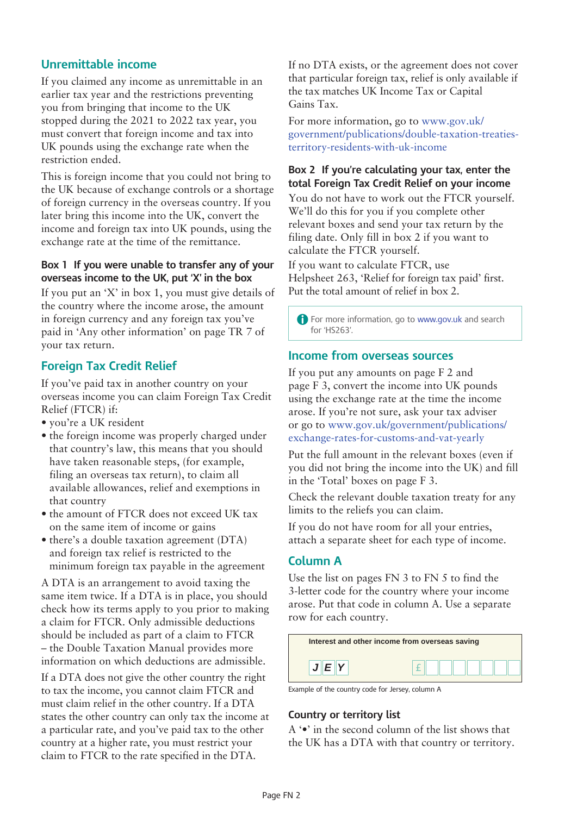# **Unremittable income**

If you claimed any income as unremittable in an earlier tax year and the restrictions preventing you from bringing that income to the UK stopped during the 2021 to 2022 tax year, you must convert that foreign income and tax into UK pounds using the [exchange](http://www.gov.uk/government/publications/hmrc-exchange-rates-for-2016-monthly) rate when the restriction ended.

This is foreign income that you could not bring to the UK because of exchange controls or a shortage of foreign currency in the overseas country. If you later bring this income into the UK, convert the income and foreign tax into UK pounds, using the [exchange](http://www.gov.uk/government/publications/hmrc-exchange-rates-for-2016-monthly) rate at the time of the remittance.

#### **Box 1 If you were unable to transfer any of your overseas income to the UK, put 'X' in the box**

If you put an 'X' in box 1, you must give details of the country where the income arose, the amount in foreign currency and any foreign tax you've paid in 'Any other information' on page TR 7 of your tax return.

# **Foreign Tax Credit Relief**

If you've paid tax in another country on your overseas income you can claim Foreign Tax Credit Relief (FTCR) if:

- • you're a UK resident
- the foreign income was properly charged under that country's law, this means that you should have taken reasonable steps, (for example, filing an overseas tax return), to claim all available allowances, relief and exemptions in that country
- the amount of FTCR does not exceed UK tax on the same item of income or gains
- there's a double taxation agreement (DTA) and foreign tax relief is restricted to the minimum foreign tax payable in the agreement

A DTA is an arrangement to avoid taxing the same item twice. If a DTA is in place, you should check how its terms apply to you prior to making a claim for FTCR. Only admissible deductions should be included as part of a claim to FTCR – the Double Taxation Manual provides more information on which deductions are admissible.

If a DTA does not give the other country the right to tax the income, you cannot claim FTCR and must claim relief in the other country. If a DTA states the other country can only tax the income at a particular rate, and you've paid tax to the other country at a higher rate, you must restrict your claim to FTCR to the rate specified in the DTA.

If no DTA exists, or the agreement does not cover that particular foreign tax, relief is only available if the tax matches UK Income Tax or Capital Gains Tax.

For more information, go to [www.gov.uk/](http://www.gov.uk/government/publications/double-taxation-treaties-territory-residents-with-uk-income) [government/publications/double-taxation-treaties](http://www.gov.uk/government/publications/double-taxation-treaties-territory-residents-with-uk-income)[territory-residents-with-uk-income](http://www.gov.uk/government/publications/double-taxation-treaties-territory-residents-with-uk-income)

## **Box 2 If you're calculating your tax, enter the total Foreign Tax Credit Relief on your income**

You do not have to work out the FTCR yourself. We'll do this for you if you complete other relevant boxes and send your tax return by the filing date. Only fill in box 2 if you want to calculate the FTCR yourself.

If you want to calculate FTCR, use [Helpsheet](http://www.gov.uk/government/publications/calculating-foreign-tax-credit-relief-on-income-hs263-self-assessment-helpsheet) 263, 'Relief for foreign tax paid' first. Put the total amount of relief in box 2.

A For more information, go to www.gov.uk and search for 'HS263'.

## **Income from overseas sources**

If you put any amounts on page F 2 and page F 3, convert the income into UK pounds using the [exchange](http://www.gov.uk/government/publications/hmrc-exchange-rates-for-2016-monthly) rate at the time the income arose. If you're not sure, ask your tax adviser or go to [www.gov.uk/government/publications/](http://www.gov.uk/government/publications/exchange-rates-for-customs-and-vat-yearly) [exchange-rates-for-customs-and-vat-yearly](http://www.gov.uk/government/publications/exchange-rates-for-customs-and-vat-yearly)

Put the full amount in the relevant boxes (even if you did not bring the income into the UK) and fill in the 'Total' boxes on page F 3.

Check the relevant double taxation treaty for any limits to the reliefs you can claim.

If you do not have room for all your entries, attach a separate sheet for each type of income.

## **Column A**

Use the list on pages FN 3 to FN 5 to find the 3-letter code for the country where your income arose. Put that code in column A. Use a separate row for each country.



Example of the country code for Jersey, column A

#### **Country or territory list**

A '•' in the second column of the list shows that the UK has a DTA with that country or territory.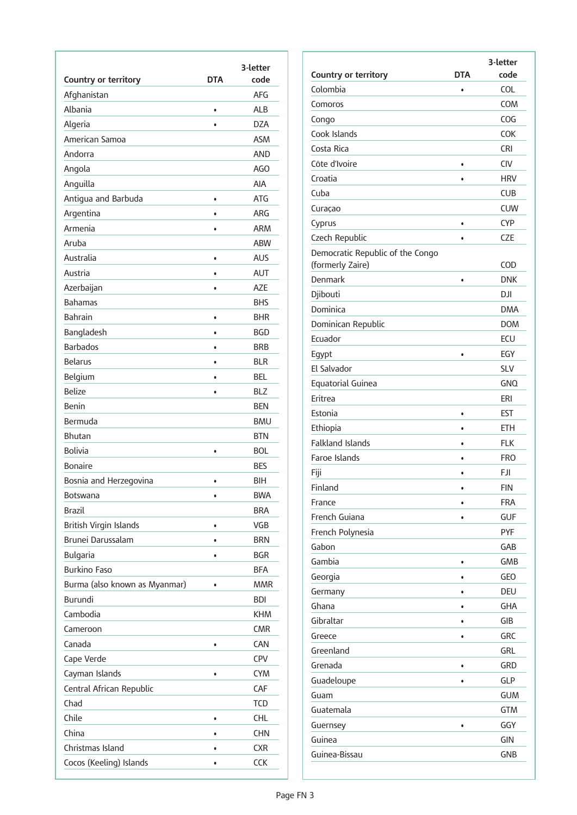| Country or territory          | <b>DTA</b> | 3-letter<br>code |
|-------------------------------|------------|------------------|
| Afghanistan                   |            | <b>AFG</b>       |
| Albania                       | $\bullet$  | <b>ALB</b>       |
| Algeria                       |            | <b>DZA</b>       |
| American Samoa                |            | <b>ASM</b>       |
| Andorra                       |            | <b>AND</b>       |
| Angola                        |            | AGO              |
| Anguilla                      |            | <b>AIA</b>       |
| Antigua and Barbuda           | $\bullet$  | <b>ATG</b>       |
| Argentina                     |            | <b>ARG</b>       |
| Armenia                       | $\bullet$  | <b>ARM</b>       |
| Aruba                         |            | <b>ABW</b>       |
| Australia                     | $\bullet$  | <b>AUS</b>       |
| Austria                       | $\bullet$  | <b>AUT</b>       |
| Azerbaijan                    | $\bullet$  | <b>AZE</b>       |
| <b>Bahamas</b>                |            | <b>BHS</b>       |
| <b>Bahrain</b>                | $\bullet$  | <b>BHR</b>       |
| Bangladesh                    | $\bullet$  | <b>BGD</b>       |
| <b>Barbados</b>               | $\bullet$  | <b>BRB</b>       |
| <b>Belarus</b>                | $\bullet$  | <b>BIR</b>       |
| Belgium                       | $\bullet$  | <b>BEL</b>       |
| <b>Belize</b>                 | $\bullet$  | <b>BLZ</b>       |
| Benin                         |            | <b>BEN</b>       |
| Bermuda                       |            | <b>BMU</b>       |
| <b>Bhutan</b>                 |            | <b>BTN</b>       |
| <b>Bolivia</b>                | $\bullet$  | <b>BOL</b>       |
| <b>Bonaire</b>                |            | <b>BES</b>       |
| Bosnia and Herzegovina        | $\bullet$  | <b>BIH</b>       |
| <b>Botswana</b>               | $\bullet$  | <b>BWA</b>       |
| <b>Brazil</b>                 |            | <b>BRA</b>       |
| British Virgin Islands        | $\bullet$  | VGB              |
| Brunei Darussalam             | $\bullet$  | <b>BRN</b>       |
| Bulgaria                      | $\bullet$  | <b>BGR</b>       |
| <b>Burkino Faso</b>           |            | <b>BFA</b>       |
| Burma (also known as Myanmar) | $\bullet$  | MMR              |
| Burundi                       |            | <b>BDI</b>       |
| Cambodia                      |            | <b>KHM</b>       |
| Cameroon                      |            | <b>CMR</b>       |
| Canada                        | $\bullet$  | <b>CAN</b>       |
| Cape Verde                    |            | <b>CPV</b>       |
| Cayman Islands                | $\bullet$  | <b>CYM</b>       |
| Central African Republic      |            | CAF              |
| Chad                          |            | TCD              |
| Chile                         | $\bullet$  | CHL.             |
| China                         | $\bullet$  | <b>CHN</b>       |
| Christmas Island              | $\bullet$  | <b>CXR</b>       |
| Cocos (Keeling) Islands       | $\bullet$  | <b>CCK</b>       |

|                                                      |            | 3-letter   |
|------------------------------------------------------|------------|------------|
| Country or territory                                 | <b>DTA</b> | code       |
| Colombia                                             | $\bullet$  | <b>COL</b> |
| Comoros                                              |            | COM        |
| Congo                                                |            | COG        |
| Cook Islands                                         |            | <b>COK</b> |
| Costa Rica                                           |            | CRI        |
| Côte d'Ivoire                                        | $\bullet$  | <b>CIV</b> |
| Croatia                                              |            | <b>HRV</b> |
| Cuba                                                 |            | <b>CUB</b> |
| Curaçao                                              |            | <b>CUW</b> |
| Cyprus                                               | ٠          | <b>CYP</b> |
| Czech Republic                                       |            | CZE        |
| Democratic Republic of the Congo<br>(formerly Zaire) |            | COD        |
| Denmark                                              | $\bullet$  | <b>DNK</b> |
| Djibouti                                             |            | DЛ         |
| Dominica                                             |            | <b>DMA</b> |
| Dominican Republic                                   |            | <b>DOM</b> |
| Ecuador                                              |            | ECU        |
| Egypt                                                | $\bullet$  | EGY        |
| El Salvador                                          |            | <b>SLV</b> |
| Equatorial Guinea                                    |            | <b>GNO</b> |
| Eritrea                                              |            | ERI        |
| Estonia                                              | $\bullet$  | EST        |
| Ethiopia                                             |            | <b>ETH</b> |
| <b>Falkland Islands</b>                              |            | <b>FLK</b> |
| Faroe Islands                                        |            | <b>FRO</b> |
| Fiji                                                 |            | <b>FJI</b> |
| Finland                                              | ٠          | <b>FIN</b> |
| France                                               |            | <b>FRA</b> |
| French Guiana                                        |            | <b>GUF</b> |
| French Polynesia                                     |            | <b>PYF</b> |
| Gabon                                                |            | GAB        |
| Gambia                                               |            | GMB        |
| Georgia                                              |            | <b>GEO</b> |
| Germany                                              |            | DEU        |
| Ghana                                                |            | <b>GHA</b> |
| Gibraltar                                            |            | GIB        |
| Greece                                               |            | <b>GRC</b> |
| Greenland                                            |            | GRL        |
| Grenada                                              |            | GRD        |
| Guadeloupe                                           |            | <b>GLP</b> |
| Guam                                                 |            | GUM        |
| Guatemala                                            |            | <b>GTM</b> |
| Guernsey                                             |            | GGY        |
| Guinea                                               |            | GIN        |
| Guinea-Bissau                                        |            | GNB        |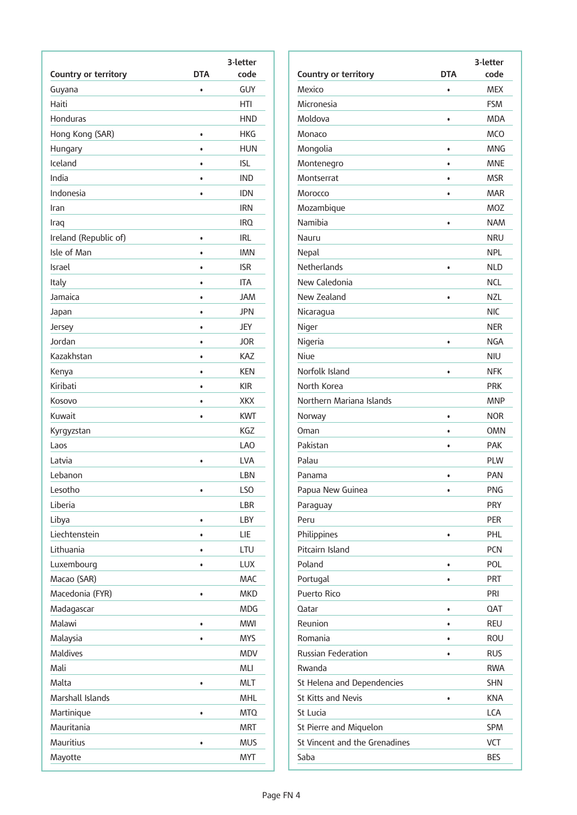|                       |            | 3-letter   |
|-----------------------|------------|------------|
| Country or territory  | <b>DTA</b> | code       |
| Guyana                | $\bullet$  | GUY        |
| Haiti                 |            | HTI        |
| Honduras              |            | HND        |
| Hong Kong (SAR)       | $\bullet$  | HKG        |
| Hungary               | $\bullet$  | <b>HUN</b> |
| Iceland               | $\bullet$  | isl        |
| India                 | $\bullet$  | <b>IND</b> |
| Indonesia             |            | idn        |
| Iran                  |            | <b>IRN</b> |
| Iraq                  |            | IRO.       |
| Ireland (Republic of) | $\bullet$  | irl        |
| Isle of Man           | $\bullet$  | <b>IMN</b> |
| Israel                | $\bullet$  | <b>ISR</b> |
| Italy                 | ٠          | <b>ITA</b> |
| Jamaica               | $\bullet$  | <b>JAM</b> |
| Japan                 | $\bullet$  | <b>JPN</b> |
| Jersey                | $\bullet$  | JEY        |
| Jordan                | $\bullet$  | <b>JOR</b> |
| Kazakhstan            | $\bullet$  | KAZ        |
| Kenya                 | $\bullet$  | <b>KEN</b> |
| Kiribati              | $\bullet$  | KIR.       |
| Kosovo                | $\bullet$  | <b>XKX</b> |
| Kuwait                | $\bullet$  | <b>KWT</b> |
| Kyrgyzstan            |            | KGZ        |
| Laos                  |            | LAO        |
| Latvia                | $\bullet$  | LVA        |
| Lebanon               |            | LBN        |
| Lesotho               | $\bullet$  | LSO        |
| Liberia               |            | <b>LBR</b> |
| Libya                 | $\bullet$  | LBY        |
| Liechtenstein         | ٠          | LIE        |
| Lithuania             | $\bullet$  | LTU        |
| Luxembourg            | $\bullet$  | <b>LUX</b> |
| Macao (SAR)           |            | MAC        |
| Macedonia (FYR)       | $\bullet$  | <b>MKD</b> |
| Madagascar            |            | <b>MDG</b> |
| Malawi                | $\bullet$  | <b>MWI</b> |
| Malaysia              | $\bullet$  | <b>MYS</b> |
| Maldives              |            | <b>MDV</b> |
| Mali                  |            | <b>MLI</b> |
| Malta                 | $\bullet$  | <b>MLT</b> |
| Marshall Islands      |            | <b>MHL</b> |
| Martinique            | $\bullet$  | <b>MTQ</b> |
| Mauritania            |            | <b>MRT</b> |
| Mauritius             | $\bullet$  | <b>MUS</b> |
| Mayotte               |            | <b>MYT</b> |
|                       |            |            |

|                               |            | 3-letter   |
|-------------------------------|------------|------------|
| Country or territory          | <b>DTA</b> | code       |
| Mexico                        | $\bullet$  | <b>MEX</b> |
| Micronesia                    |            | <b>FSM</b> |
| Moldova                       | $\bullet$  | <b>MDA</b> |
| Monaco                        |            | <b>MCO</b> |
| Mongolia                      | $\bullet$  | <b>MNG</b> |
| Montenegro                    | ٠          | <b>MNE</b> |
| Montserrat                    | $\bullet$  | <b>MSR</b> |
| Morocco                       | $\bullet$  | <b>MAR</b> |
| Mozambique                    |            | MOZ        |
| Namibia                       | $\bullet$  | <b>NAM</b> |
| Nauru                         |            | NRU        |
| Nepal                         |            | <b>NPL</b> |
| <b>Netherlands</b>            | $\bullet$  | <b>NLD</b> |
| New Caledonia                 |            | <b>NCL</b> |
| New Zealand                   | ٠          | <b>NZL</b> |
| Nicaragua                     |            | <b>NIC</b> |
| Niger                         |            | <b>NER</b> |
| Nigeria                       |            | NGA        |
| Niue                          |            | <b>NIU</b> |
| Norfolk Island                | $\bullet$  | <b>NFK</b> |
| North Korea                   |            | <b>PRK</b> |
| Northern Mariana Islands      |            | <b>MNP</b> |
| Norway                        | $\bullet$  | <b>NOR</b> |
| Oman                          | ٠          | <b>OMN</b> |
| Pakistan                      | $\bullet$  | <b>PAK</b> |
| Palau                         |            | <b>PLW</b> |
| Panama                        | $\bullet$  | <b>PAN</b> |
| Papua New Guinea              |            | <b>PNG</b> |
| Paraguay                      |            | <b>PRY</b> |
| Peru                          |            | <b>PER</b> |
| Philippines                   | $\bullet$  | PHL        |
| Pitcairn Island               |            | <b>PCN</b> |
| Poland                        | $\bullet$  | POL        |
| Portugal                      | $\bullet$  | <b>PRT</b> |
| Puerto Rico                   |            | PRI        |
| Qatar                         | $\bullet$  | <b>QAT</b> |
| Reunion                       | ٠          | <b>REU</b> |
| Romania                       | ٠          | ROU        |
| <b>Russian Federation</b>     |            | <b>RUS</b> |
| Rwanda                        |            | <b>RWA</b> |
| St Helena and Dependencies    |            | <b>SHN</b> |
| <b>St Kitts and Nevis</b>     | $\bullet$  | <b>KNA</b> |
| St Lucia                      |            | LCA        |
| St Pierre and Miquelon        |            | <b>SPM</b> |
| St Vincent and the Grenadines |            | <b>VCT</b> |
| Saba                          |            | <b>BES</b> |
|                               |            |            |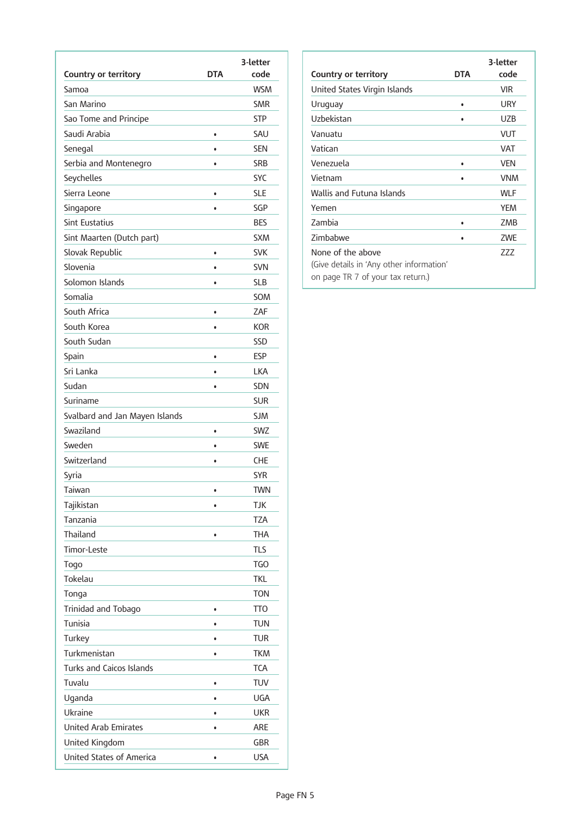|                                 | <b>DTA</b> | 3-letter<br>code |
|---------------------------------|------------|------------------|
| Country or territory<br>Samoa   |            | <b>WSM</b>       |
| San Marino                      |            | <b>SMR</b>       |
| Sao Tome and Principe           |            | <b>STP</b>       |
| Saudi Arabia                    |            |                  |
|                                 | $\bullet$  | SAU              |
| Senegal                         | $\bullet$  | <b>SEN</b>       |
| Serbia and Montenegro           | $\bullet$  | <b>SRB</b>       |
| Seychelles                      |            | <b>SYC</b>       |
| Sierra Leone                    | $\bullet$  | SLE              |
| Singapore                       | $\bullet$  | SGP              |
| <b>Sint Eustatius</b>           |            | <b>BES</b>       |
| Sint Maarten (Dutch part)       |            | <b>SXM</b>       |
| Slovak Republic                 | $\bullet$  | <b>SVK</b>       |
| Slovenia                        | $\bullet$  | <b>SVN</b>       |
| Solomon Islands                 | $\bullet$  | <b>SLB</b>       |
| Somalia                         |            | SOM              |
| South Africa                    | $\bullet$  | ZAF              |
| South Korea                     | $\bullet$  | <b>KOR</b>       |
| South Sudan                     |            | <b>SSD</b>       |
| Spain                           | $\bullet$  | <b>ESP</b>       |
| Sri Lanka                       | ٠          | <b>LKA</b>       |
| Sudan                           | $\bullet$  | <b>SDN</b>       |
| Suriname                        |            | <b>SUR</b>       |
| Svalbard and Jan Mayen Islands  |            | <b>SJM</b>       |
| Swaziland                       | $\bullet$  | <b>SWZ</b>       |
| Sweden                          |            | <b>SWE</b>       |
| Switzerland                     | $\bullet$  | <b>CHE</b>       |
| Syria                           |            | <b>SYR</b>       |
| Taiwan                          |            | <b>TWN</b>       |
| Tajikistan                      | $\bullet$  | <b>TJK</b>       |
| Tanzania                        |            | TZA              |
| Thailand                        | $\bullet$  | <b>THA</b>       |
| <b>Timor-Leste</b>              |            | <b>TLS</b>       |
| Togo                            |            | <b>TGO</b>       |
| Tokelau                         |            | <b>TKL</b>       |
| Tonga                           |            | <b>TON</b>       |
| Trinidad and Tobago             | $\bullet$  | TT <sub>0</sub>  |
| Tunisia                         |            | <b>TUN</b>       |
| Turkey                          | $\bullet$  | <b>TUR</b>       |
| Turkmenistan                    | $\bullet$  | <b>TKM</b>       |
| <b>Turks and Caicos Islands</b> |            | <b>TCA</b>       |
| Tuvalu                          | $\bullet$  | TUV              |
| Uganda                          |            | <b>UGA</b>       |
| Ukraine                         | $\bullet$  | <b>UKR</b>       |
| <b>United Arab Emirates</b>     | $\bullet$  | ARE              |
| United Kingdom                  |            | <b>GBR</b>       |
| United States of America        | $\bullet$  | <b>USA</b>       |
|                                 |            |                  |

| Country or territory                                                                               | <b>DTA</b> | 3-letter<br>code |
|----------------------------------------------------------------------------------------------------|------------|------------------|
| United States Virgin Islands                                                                       |            | <b>VIR</b>       |
| Uruguay                                                                                            | ٠          | URY              |
| Uzbekistan                                                                                         |            | UZB              |
| Vanuatu                                                                                            |            | VUT              |
| Vatican                                                                                            |            | <b>VAT</b>       |
| Venezuela                                                                                          | ٠          | <b>VFN</b>       |
| Vietnam                                                                                            | ٠          | <b>VNM</b>       |
| Wallis and Futuna Islands                                                                          |            | <b>WLF</b>       |
| Yemen                                                                                              |            | <b>YEM</b>       |
| Zambia                                                                                             | ٠          | ZMB              |
| Zimbabwe                                                                                           |            | ZWE              |
| None of the above<br>(Give details in 'Any other information'<br>on page TR 7 of your tax return.) |            | 777              |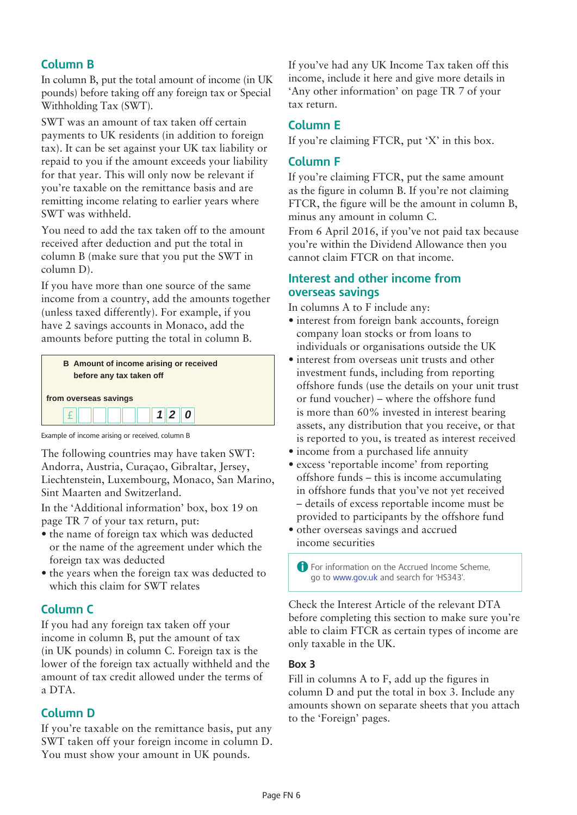# **Column B**

In column B, put the total amount of income (in UK pounds) before taking off any foreign tax or Special Withholding Tax (SWT).

SWT was an amount of tax taken off certain payments to UK residents (in addition to foreign tax). It can be set against your UK tax liability or repaid to you if the amount exceeds your liability for that year. This will only now be relevant if you're taxable on the remittance basis and are remitting income relating to earlier years where SWT was withheld.

You need to add the tax taken off to the amount received after deduction and put the total in column B (make sure that you put the SWT in column D).

If you have more than one source of the same income from a country, add the amounts together (unless taxed differently). For example, if you have 2 savings accounts in Monaco, add the amounts before putting the total in column B.



Example of income arising or received, column B

The following countries may have taken SWT: Andorra, Austria, Curaçao, Gibraltar, Jersey, Liechtenstein, Luxembourg, Monaco, San Marino, Sint Maarten and Switzerland.

In the 'Additional information' box, box 19 on page TR 7 of your tax return, put:

- the name of foreign tax which was deducted or the name of the agreement under which the foreign tax was deducted
- the years when the foreign tax was deducted to which this claim for SWT relates

# **Column C**

If you had any foreign tax taken off your income in column B, put the amount of tax (in UK pounds) in column C. Foreign tax is the lower of the foreign tax actually withheld and the amount of tax credit allowed under the terms of a DTA.

# **Column D**

If you're taxable on the remittance basis, put any SWT taken off your foreign income in column D. You must show your amount in UK pounds.

If you've had any UK Income Tax taken off this income, include it here and give more details in 'Any other information' on page TR 7 of your tax return.

# **Column E**

If you're claiming FTCR, put 'X' in this box.

# **Column F**

If you're claiming FTCR, put the same amount as the figure in column B. If you're not claiming FTCR, the figure will be the amount in column B, minus any amount in column C.

From 6 April 2016, if you've not paid tax because you're within the Dividend Allowance then you cannot claim FTCR on that income.

# **Interest and other income from overseas savings**

In columns A to F include any:

- interest from foreign bank accounts, foreign company loan stocks or from loans to individuals or organisations outside the UK
- interest from overseas unit trusts and other investment funds, including from reporting offshore funds (use the details on your unit trust or fund voucher) – where the offshore fund is more than 60% invested in interest bearing assets, any distribution that you receive, or that is reported to you, is treated as interest received
- income from a purchased life annuity
- excess 'reportable income' from reporting offshore funds – this is income accumulating in offshore funds that you've not yet received – details of excess reportable income must be provided to participants by the offshore fund
- other overseas savings and accrued income securities

**A** For information on the Accrued Income Scheme, go to www.gov.uk and search for 'HS343'.

Check the Interest Article of the relevant DTA before completing this section to make sure you're able to claim FTCR as certain types of income are only taxable in the UK.

## **Box 3**

Fill in columns A to F, add up the figures in column D and put the total in box 3. Include any amounts shown on separate sheets that you attach to the 'Foreign' pages.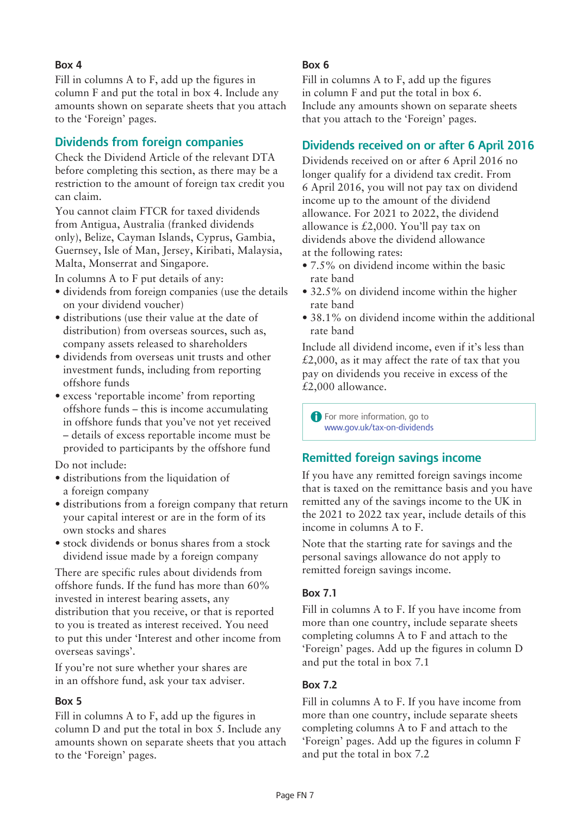## **Box 4**

Fill in columns A to F, add up the figures in column F and put the total in box 4. Include any amounts shown on separate sheets that you attach to the ['Foreign](http://www.gov.uk/government/publications/self-assessment-foreign-sa106)' pages.

# **Dividends from foreign companies**

Check the Dividend Article of the relevant DTA before completing this section, as there may be a restriction to the amount of foreign tax credit you can claim.

You cannot claim FTCR for taxed dividends from Antigua, Australia (franked dividends only), Belize, Cayman Islands, Cyprus, Gambia, Guernsey, Isle of Man, Jersey, Kiribati, Malaysia, Malta, Monserrat and Singapore.

In columns A to F put details of any:

- dividends from foreign companies (use the details on your dividend voucher)
- distributions (use their value at the date of distribution) from overseas sources, such as, company assets released to shareholders
- • dividends from overseas unit trusts and other investment funds, including from reporting offshore funds
- • excess 'reportable income' from reporting offshore funds – this is income accumulating in offshore funds that you've not yet received – details of excess reportable income must be provided to participants by the offshore fund

Do not include:

- distributions from the liquidation of a foreign company
- distributions from a foreign company that return your capital interest or are in the form of its own stocks and shares
- stock dividends or bonus shares from a stock dividend issue made by a foreign company

There are specific rules about dividends from offshore funds. If the fund has more than 60% invested in interest bearing assets, any distribution that you receive, or that is reported to you is treated as interest received. You need to put this under 'Interest and other income from overseas savings'.

If you're not sure whether your shares are in an offshore fund, ask your tax adviser.

#### **Box 5**

Fill in columns A to F, add up the figures in column D and put the total in box 5. Include any amounts shown on separate sheets that you attach to the ['Foreign](http://www.gov.uk/government/publications/self-assessment-foreign-sa106)' pages.

## **Box 6**

Fill in columns A to F, add up the figures in column F and put the total in box 6. Include any amounts shown on separate sheets that you attach to the 'Foreign' pages.

# **Dividends received on or after 6 April 2016**

Dividends received on or after 6 April 2016 no longer qualify for a dividend tax credit. From 6 April 2016, you will not pay tax on dividend income up to the amount of the dividend allowance. For 2021 to 2022, the dividend allowance is £2,000. You'll pay tax on dividends above the dividend allowance at the following rates:

- 7.5% on dividend income within the basic rate band
- 32.5% on dividend income within the higher rate band
- 38.1% on dividend income within the additional rate band

Include all dividend income, even if it's less than  $£2,000$ , as it may affect the rate of tax that you pay on dividends you receive in excess of the £2,000 allowance.

**A** For more information, go to [www.gov.uk/tax-on-dividends](http://www.gov.uk/tax-on-dividends) 

# **Remitted foreign savings income**

If you have any remitted foreign savings income that is taxed on the remittance basis and you have remitted any of the savings income to the UK in the 2021 to 2022 tax year, include details of this income in columns A to F.

Note that the starting rate for savings and the personal savings allowance do not apply to remitted foreign savings income.

## **Box 7.1**

Fill in columns A to F. If you have income from more than one country, include separate sheets completing columns A to F and attach to the 'Foreign' pages. Add up the figures in column D and put the total in box 7.1

## **Box 7.2**

Fill in columns A to F. If you have income from more than one country, include separate sheets completing columns A to F and attach to the 'Foreign' pages. Add up the figures in column F and put the total in box 7.2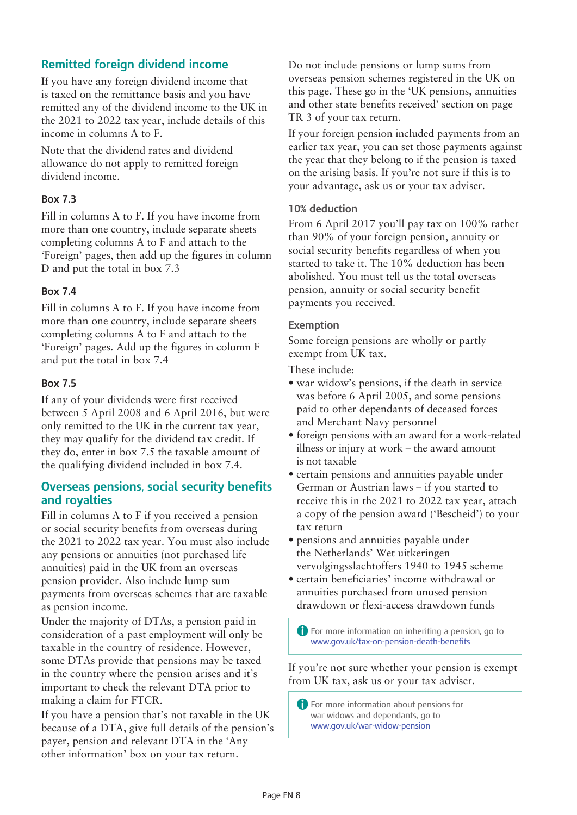# **Remitted foreign dividend income**

If you have any foreign dividend income that is taxed on the remittance basis and you have remitted any of the dividend income to the UK in the 2021 to 2022 tax year, include details of this income in columns A to F.

Note that the dividend rates and dividend allowance do not apply to remitted foreign dividend income.

## **Box 7.3**

Fill in columns A to F. If you have income from more than one country, include separate sheets completing columns A to F and attach to the 'Foreign' pages, then add up the figures in column D and put the total in box 7.3

#### **Box 7.4**

Fill in columns A to F. If you have income from more than one country, include separate sheets completing columns A to F and attach to the 'Foreign' pages. Add up the figures in column F and put the total in box 7.4

#### **Box 7.5**

If any of your dividends were first received between 5 April 2008 and 6 April 2016, but were only remitted to the UK in the current tax year, they may qualify for the dividend tax credit. If they do, enter in box 7.5 the taxable amount of the qualifying dividend included in box 7.4.

## **Overseas pensions, social security benefits and royalties**

Fill in columns A to F if you received a pension or social security benefits from overseas during the 2021 to 2022 tax year. You must also include any pensions or annuities (not purchased life annuities) paid in the UK from an overseas pension provider. Also include lump sum payments from overseas schemes that are taxable as pension income.

Under the majority of DTAs, a pension paid in consideration of a past employment will only be taxable in the country of residence. However, some DTAs provide that pensions may be taxed in the country where the pension arises and it's important to check the relevant DTA prior to making a claim for FTCR.

If you have a pension that's not taxable in the UK because of a DTA, give full details of the pension's payer, pension and relevant DTA in the 'Any other information' box on your tax return.

Do not include pensions or lump sums from overseas pension schemes registered in the UK on this page. These go in the 'UK pensions, annuities and other state benefits received' section on page TR 3 of your tax return.

If your foreign pension included payments from an earlier tax year, you can set those payments against the year that they belong to if the pension is taxed on the arising basis. If you're not sure if this is to your advantage, ask us or your tax adviser.

#### **10% deduction**

From 6 April 2017 you'll pay tax on 100% rather than 90% of your foreign pension, annuity or social security benefits regardless of when you started to take it. The 10% deduction has been abolished. You must tell us the total overseas pension, annuity or social security benefit payments you received.

#### **Exemption**

Some foreign pensions are wholly or partly exempt from UK tax.

These include:

- war widow's pensions, if the death in service was before 6 April 2005, and some pensions paid to other dependants of deceased forces and Merchant Navy personnel
- • foreign pensions with an award for a work-related illness or injury at work – the award amount is not taxable
- certain pensions and annuities payable under German or Austrian laws – if you started to receive this in the 2021 to 2022 tax year, attach a copy of the pension award ('Bescheid') to your tax return
- pensions and annuities payable under the Netherlands' Wet uitkeringen vervolgingsslachtoffers 1940 to 1945 scheme
- • certain beneficiaries' income withdrawal or annuities purchased from unused pension drawdown or flexi-access drawdown funds

A For more information on inheriting a pension, go to <www.gov.uk/tax-on-pension-death-benefits>

If you're not sure whether your pension is exempt from UK tax, ask us or your tax adviser.

**A** For more information about pensions for war widows and dependants, go to <www.gov.uk/war-widow-pension>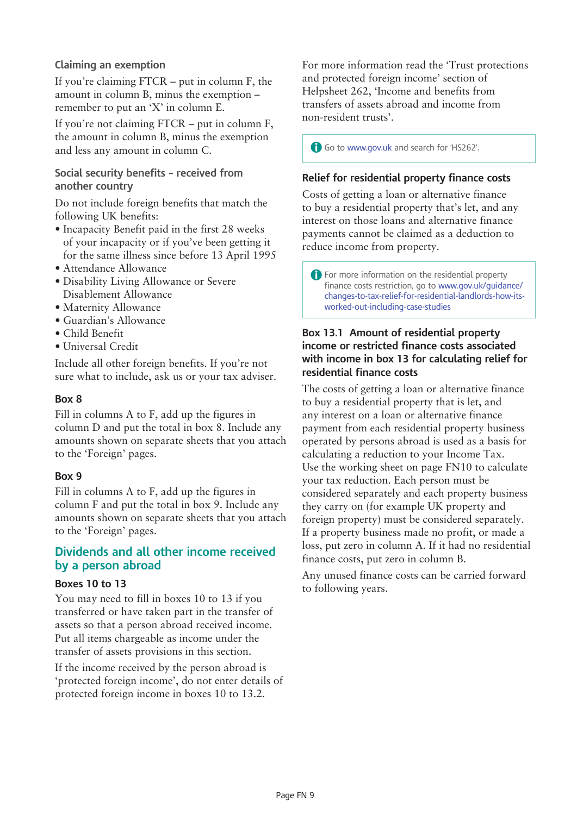## **Claiming an exemption**

If you're claiming FTCR – put in column F, the amount in column B, minus the exemption – remember to put an 'X' in column E.

If you're not claiming FTCR – put in column F, the amount in column B, minus the exemption and less any amount in column C.

**Social security benefits – received from another country**

Do not include foreign benefits that match the following UK benefits:

- Incapacity Benefit paid in the first 28 weeks of your incapacity or if you've been getting it for the same illness since before 13 April 1995
- Attendance Allowance
- Disability Living Allowance or Severe Disablement Allowance
- • Maternity Allowance
- • Guardian's Allowance
- • Child Benefit
- • Universal Credit

Include all other foreign benefits. If you're not sure what to include, ask us or your tax adviser.

#### **Box 8**

Fill in columns A to F, add up the figures in column D and put the total in box 8. Include any amounts shown on separate sheets that you attach to the 'Foreign' pages.

## **Box 9**

Fill in columns A to F, add up the figures in column F and put the total in box 9. Include any amounts shown on separate sheets that you attach to the ['Foreign](http://www.gov.uk/government/publications/self-assessment-foreign-sa106)' pages.

## **Dividends and all other income received by a person abroad**

#### **Boxes 10 to 13**

You may need to fill in boxes 10 to 13 if you transferred or have taken part in the transfer of assets so that a person abroad received income. Put all items chargeable as income under the transfer of assets provisions in this section.

If the income received by the person abroad is 'protected foreign income', do not enter details of protected foreign income in boxes 10 to 13.2.

For more information read the 'Trust protections and protected foreign income' section of Helpsheet 262, 'Income and benefits from transfers of assets abroad and income from non-resident trusts'.

A Go to www.gov.uk and search for 'HS262'.

## **Relief for residential property finance costs**

Costs of getting a loan or alternative finance to buy a residential property that's let, and any interest on those loans and alternative finance payments cannot be claimed as a deduction to reduce income from property.

**A** For more information on the residential property finance costs restriction, go to www.gov.uk/guidance/ changes-to-tax-relief-for-residential-landlords-how-itsworked-out-including-case-studies

#### **Box 13.1 Amount of residential property income or restricted finance costs associated with income in box 13 for calculating relief for residential finance costs**

The costs of getting a loan or alternative finance to buy a residential property that is let, and any interest on a loan or alternative finance payment from each residential property business operated by persons abroad is used as a basis for calculating a reduction to your Income Tax. Use the working sheet on page FN10 to calculate your tax reduction. Each person must be considered separately and each property business they carry on (for example UK property and foreign property) must be considered separately. If a property business made no profit, or made a loss, put zero in column A. If it had no residential finance costs, put zero in column B.

Any unused finance costs can be carried forward to following years.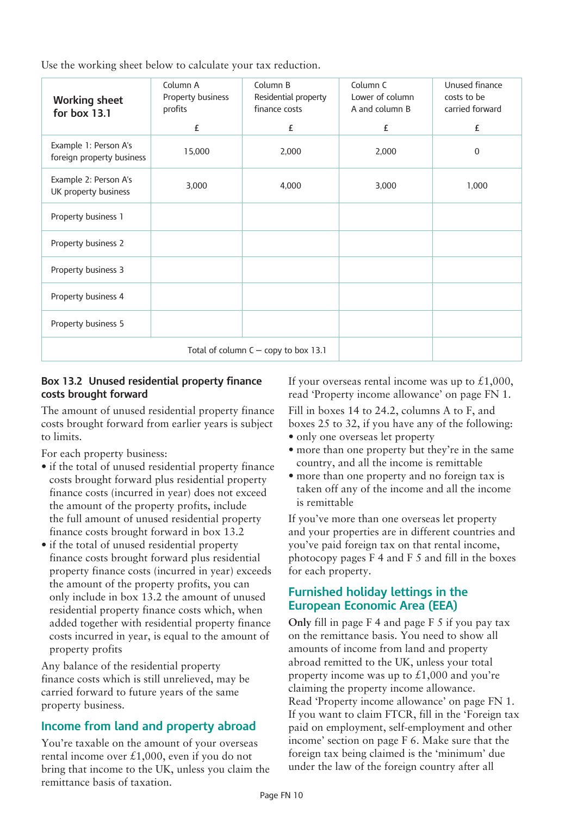Use the working sheet below to calculate your tax reduction.

| <b>Working sheet</b><br>for box 13.1               | Column A<br>Property business<br>profits<br>£ | Column B<br>Residential property<br>finance costs<br>£ | Column C<br>Lower of column<br>A and column B<br>£ | Unused finance<br>costs to be<br>carried forward<br>£ |
|----------------------------------------------------|-----------------------------------------------|--------------------------------------------------------|----------------------------------------------------|-------------------------------------------------------|
|                                                    |                                               |                                                        |                                                    |                                                       |
| Example 1: Person A's<br>foreign property business | 15,000                                        | 2,000                                                  | 2,000                                              | $\mathbf 0$                                           |
| Example 2: Person A's<br>UK property business      | 3,000                                         | 4,000                                                  | 3,000                                              | 1,000                                                 |
| Property business 1                                |                                               |                                                        |                                                    |                                                       |
| Property business 2                                |                                               |                                                        |                                                    |                                                       |
| Property business 3                                |                                               |                                                        |                                                    |                                                       |
| Property business 4                                |                                               |                                                        |                                                    |                                                       |
| Property business 5                                |                                               |                                                        |                                                    |                                                       |
| Total of column $C -$ copy to box 13.1             |                                               |                                                        |                                                    |                                                       |

## **Box 13.2 Unused residential property finance costs brought forward**

The amount of unused residential property finance costs brought forward from earlier years is subject to limits.

For each property business:

- if the total of unused residential property finance costs brought forward plus residential property finance costs (incurred in year) does not exceed the amount of the property profits, include the full amount of unused residential property finance costs brought forward in box 13.2
- if the total of unused residential property finance costs brought forward plus residential property finance costs (incurred in year) exceeds the amount of the property profits, you can only include in box 13.2 the amount of unused residential property finance costs which, when added together with residential property finance costs incurred in year, is equal to the amount of property profits

Any balance of the residential property finance costs which is still unrelieved, may be carried forward to future years of the same property business.

# **Income from land and property abroad**

You're taxable on the amount of your overseas rental income over £1,000, even if you do not bring that income to the UK, unless you claim the remittance basis of taxation.

If your overseas rental income was up to  $£1,000,$ read 'Property income allowance' on page FN 1.

Fill in boxes 14 to 24.2, columns A to F, and boxes 25 to 32, if you have any of the following: • only one overseas let property

- 
- more than one property but they're in the same country, and all the income is remittable
- more than one property and no foreign tax is taken off any of the income and all the income is remittable

If you've more than one overseas let property and your properties are in different countries and you've paid foreign tax on that rental income, photocopy pages F 4 and F 5 and fill in the boxes for each property.

## **Furnished holiday lettings in the European Economic Area (EEA)**

**Only** fill in page F 4 and page F 5 if you pay tax on the remittance basis. You need to show all amounts of income from land and property abroad remitted to the UK, unless your total property income was up to  $\pounds1,000$  and you're claiming the property income allowance. Read 'Property income allowance' on page FN 1. If you want to claim FTCR, fill in the 'Foreign tax paid on employment, self-employment and other income' section on page F 6. Make sure that the foreign tax being claimed is the 'minimum' due under the law of the foreign country after all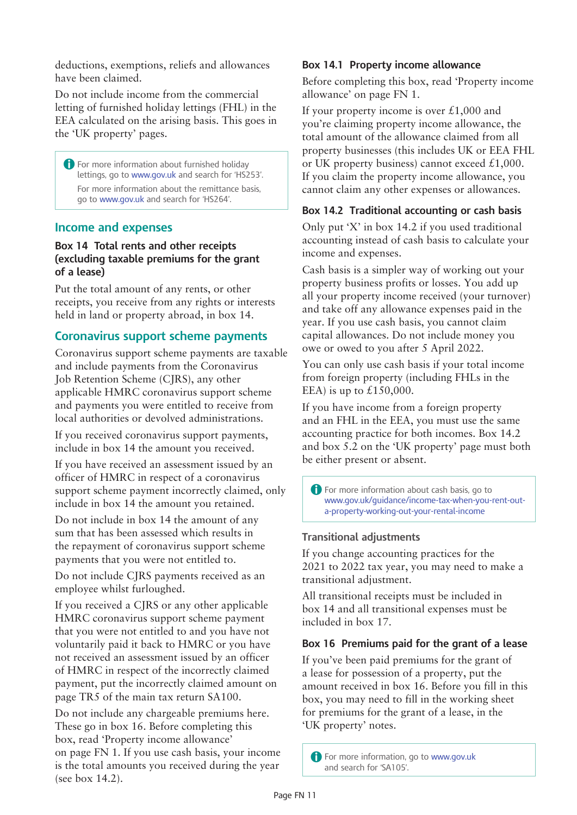deductions, exemptions, reliefs and allowances have been claimed.

Do not include income from the commercial letting of furnished holiday lettings (FHL) in the EEA calculated on the arising basis. This goes in the 'UK [property](http://www.gov.uk/government/publications/self-assessment-uk-property-sa105)' pages.

**A** For more information about furnished holiday lettings, go to www.gov.uk and search for 'HS253'. For more information about the remittance basis, go to www.gov.uk and search for 'HS264'.

#### **Income and expenses**

#### **Box 14 Total rents and other receipts (excluding taxable premiums for the grant of a lease)**

Put the total amount of any rents, or other receipts, you receive from any rights or interests held in land or property abroad, in box 14.

## **Coronavirus support scheme payments**

Coronavirus support scheme payments are taxable and include payments from the Coronavirus Job Retention Scheme (CJRS), any other applicable HMRC coronavirus support scheme and payments you were entitled to receive from local authorities or devolved administrations.

If you received coronavirus support payments, include in box 14 the amount you received.

If you have received an assessment issued by an officer of HMRC in respect of a coronavirus support scheme payment incorrectly claimed, only include in box 14 the amount you retained.

Do not include in box 14 the amount of any sum that has been assessed which results in the repayment of coronavirus support scheme payments that you were not entitled to.

Do not include CJRS payments received as an employee whilst furloughed.

If you received a CJRS or any other applicable HMRC coronavirus support scheme payment that you were not entitled to and you have not voluntarily paid it back to HMRC or you have not received an assessment issued by an officer of HMRC in respect of the incorrectly claimed payment, put the incorrectly claimed amount on page TR5 of the main tax return SA100.

Do not include any chargeable premiums here. These go in box 16. Before completing this box, read 'Property income allowance' on page FN 1. If you use cash basis, your income is the total amounts you received during the year (see box 14.2).

#### **Box 14.1 Property income allowance**

Before completing this box, read 'Property income allowance' on page FN 1.

If your property income is over  $\pounds 1,000$  and you're claiming property income allowance, the total amount of the allowance claimed from all property businesses (this includes UK or EEA FHL or UK property business) cannot exceed  $£1,000$ . If you claim the property income allowance, you cannot claim any other expenses or allowances.

## **Box 14.2 Traditional accounting or cash basis**

Only put 'X' in box 14.2 if you used traditional accounting instead of cash basis to calculate your income and expenses.

Cash basis is a simpler way of working out your property business profits or losses. You add up all your property income received (your turnover) and take off any allowance expenses paid in the year. If you use cash basis, you cannot claim capital allowances. Do not include money you owe or owed to you after 5 April 2022.

You can only use cash basis if your total income from foreign property (including FHLs in the EEA) is up to  $£150,000$ .

If you have income from a foreign property and an FHL in the EEA, you must use the same accounting practice for both incomes. Box 14.2 and box 5.2 on the 'UK property' page must both be either present or absent.

**A** For more information about cash basis, go to [www.gov.uk/](http://www.gov.uk/capital-allowances)guidance/income-tax-when-you-rent-outa-property-working-out-your-rental-income

## **Transitional adjustments**

If you change accounting practices for the 2021 to 2022 tax year, you may need to make a transitional adjustment.

All transitional receipts must be included in box 14 and all transitional expenses must be included in box 17.

## **Box 16 Premiums paid for the grant of a lease**

If you've been paid premiums for the grant of a lease for possession of a property, put the amount received in box 16. Before you fill in this box, you may need to fill in the working sheet for premiums for the grant of a lease, in the 'UK [property'](http://www.gov.uk/government/publications/self-assessment-uk-property-sa105) notes.

**A** For more information, go to www.gov.uk and search for 'SA105'.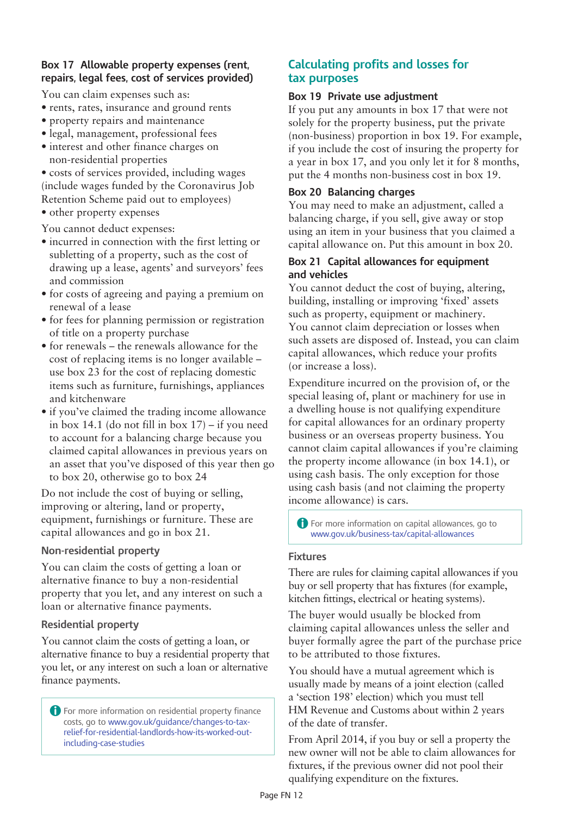## **Box 17 Allowable property expenses (rent, repairs, legal fees, cost of services provided)**

You can claim expenses such as:

- rents, rates, insurance and ground rents
- • property repairs and maintenance
- legal, management, professional fees
- interest and other finance charges on non-residential properties

• costs of services provided, including wages (include wages funded by the Coronavirus Job Retention Scheme paid out to employees)

• other property expenses

You cannot deduct expenses:

- incurred in connection with the first letting or subletting of a property, such as the cost of drawing up a lease, agents' and surveyors' fees and commission
- for costs of agreeing and paying a premium on renewal of a lease
- • for fees for planning permission or registration of title on a property purchase
- for renewals the renewals allowance for the cost of replacing items is no longer available – use box 23 for the cost of replacing domestic items such as furniture, furnishings, appliances and kitchenware
- if you've claimed the trading income allowance in box 14.1 (do not fill in box  $17$ ) – if you need to account for a balancing charge because you claimed capital allowances in previous years on an asset that you've disposed of this year then go to box 20, otherwise go to box 24

Do not include the cost of buying or selling, improving or altering, land or property, equipment, furnishings or furniture. These are capital allowances and go in box 21.

## **Non-residential property**

You can claim the costs of getting a loan or alternative finance to buy a non-residential property that you let, and any interest on such a loan or alternative finance payments.

## **Residential property**

You cannot claim the costs of getting a loan, or alternative finance to buy a residential property that you let, or any interest on such a loan or alternative finance payments.

A For more information on residential property finance costs, go to www.gov.uk/guidance/changes-to-tax[relief-for-residential-landlords-how-its-worked-out](https://www.gov.uk/guidance/changes-to-tax-relief-for-residential-landlords-how-its-worked-out-including-case-studies)including-case-studies

# **Calculating profits and losses for tax purposes**

#### **Box 19 Private use adjustment**

If you put any amounts in box 17 that were not solely for the property business, put the private (non-business) proportion in box 19. For example, if you include the cost of insuring the property for a year in box 17, and you only let it for 8 months, put the 4 months non-business cost in box 19.

#### **Box 20 Balancing charges**

You may need to make an adjustment, called a balancing charge, if you sell, give away or stop using an item in your business that you claimed a capital allowance on. Put this amount in box 20.

#### **Box 21 Capital allowances for equipment and vehicles**

You cannot deduct the cost of buying, altering, building, installing or improving 'fixed' assets such as property, equipment or machinery. You cannot claim depreciation or losses when such assets are disposed of. Instead, you can claim capital allowances, which reduce your profits (or increase a loss).

Expenditure incurred on the provision of, or the special leasing of, plant or machinery for use in a dwelling house is not qualifying expenditure for capital allowances for an ordinary property business or an overseas property business. You cannot claim capital allowances if you're claiming the property income allowance (in box 14.1), or using cash basis. The only exception for those using cash basis (and not claiming the property income allowance) is cars.

A For more information on capital allowances, go to [www.gov.uk/business-tax/capital-allowances](http://www.gov.uk/capital-allowances)

#### **Fixtures**

There are rules for claiming capital allowances if you buy or sell property that has fixtures (for example, kitchen fittings, electrical or heating systems).

The buyer would usually be blocked from claiming capital allowances unless the seller and buyer formally agree the part of the purchase price to be attributed to those fixtures.

You should have a mutual agreement which is usually made by means of a joint election (called a 'section 198' election) which you must tell HM Revenue and Customs about within 2 years of the date of transfer.

From April 2014, if you buy or sell a property the new owner will not be able to claim allowances for fixtures, if the previous owner did not pool their qualifying expenditure on the fixtures.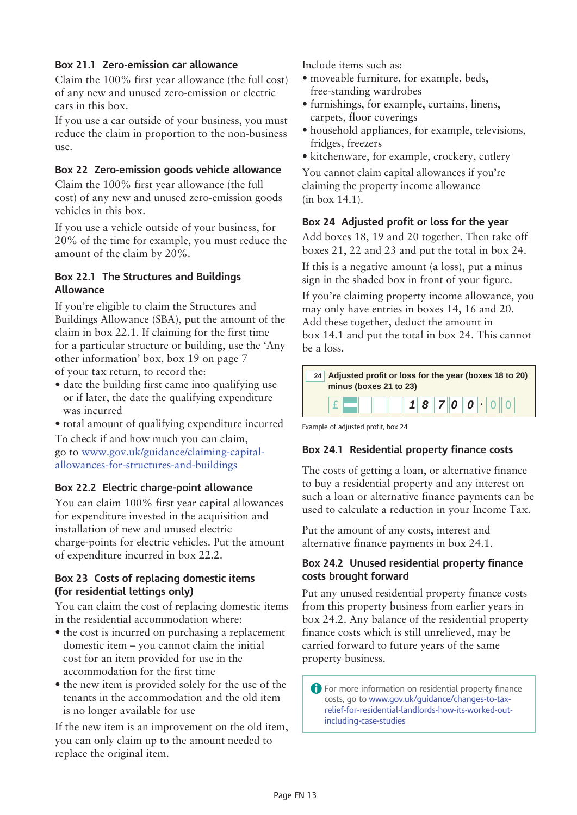## **Box 21.1 Zero-emission car allowance**

Claim the 100% first year allowance (the full cost) of any new and unused zero-emission or electric cars in this box.

If you use a car outside of your business, you must reduce the claim in proportion to the non-business use.

#### **Box 22 Zero-emission goods vehicle allowance**

Claim the 100% first year allowance (the full cost) of any new and unused zero-emission goods vehicles in this box.

If you use a vehicle outside of your business, for 20% of the time for example, you must reduce the amount of the claim by 20%.

#### **Box 22.1 The Structures and Buildings Allowance**

If you're eligible to claim the Structures and Buildings Allowance (SBA), put the amount of the claim in box 22.1. If claiming for the first time for a particular structure or building, use the 'Any other information' box, box 19 on page 7 of your tax return, to record the:

• date the building first came into qualifying use or if later, the date the qualifying expenditure was incurred

• total amount of qualifying expenditure incurred

To check if and how much you can claim, go to www.gov.uk/guidance/claiming-capitalallowances-for-structures-and-buildings

## **Box 22.2 Electric charge-point allowance**

You can claim 100% first year capital allowances for expenditure invested in the acquisition and installation of new and unused electric charge-points for electric vehicles. Put the amount of expenditure incurred in box 22.2.

## **Box 23 Costs of replacing domestic items (for residential lettings only)**

You can claim the cost of replacing domestic items in the residential accommodation where:

- the cost is incurred on purchasing a replacement domestic item – you cannot claim the initial cost for an item provided for use in the accommodation for the first time
- the new item is provided solely for the use of the tenants in the accommodation and the old item is no longer available for use

If the new item is an improvement on the old item, you can only claim up to the amount needed to replace the original item.

Include items such as:

- • moveable furniture, for example, beds, free-standing wardrobes
- • furnishings, for example, curtains, linens, carpets, floor coverings
- household appliances, for example, televisions, fridges, freezers
- kitchenware, for example, crockery, cutlery

You cannot claim capital allowances if you're claiming the property income allowance (in box 14.1).

#### **Box 24 Adjusted profit or loss for the year**

Add boxes 18, 19 and 20 together. Then take off boxes 21, 22 and 23 and put the total in box 24.

If this is a negative amount (a loss), put a minus sign in the shaded box in front of your figure.

If you're claiming property income allowance, you may only have entries in boxes 14, 16 and 20. Add these together, deduct the amount in box 14.1 and put the total in box 24. This cannot be a loss.

| minus (boxes 21 to 23) | 24 Adjusted profit or loss for the year (boxes 18 to 20) |  |
|------------------------|----------------------------------------------------------|--|
|                        | $\  \ \  1 \otimes 7$   $ o   o   \cdot   o \ $          |  |

Example of adjusted profit, box 24

#### **Box 24.1 Residential property finance costs**

The costs of getting a loan, or alternative finance to buy a residential property and any interest on such a loan or alternative finance payments can be used to calculate a reduction in your Income Tax.

Put the amount of any costs, interest and alternative finance payments in box 24.1.

#### **Box 24.2 Unused residential property finance costs brought forward**

Put any unused residential property finance costs from this property business from earlier years in box 24.2. Any balance of the residential property finance costs which is still unrelieved, may be carried forward to future years of the same property business.

A For more information on residential property finance costs, go to www.gov.uk/guidance/changes-to-tax[relief-for-residential-landlords-how-its-worked-out](https://www.gov.uk/guidance/changes-to-tax-relief-for-residential-landlords-how-its-worked-out-including-case-studies)including-case-studies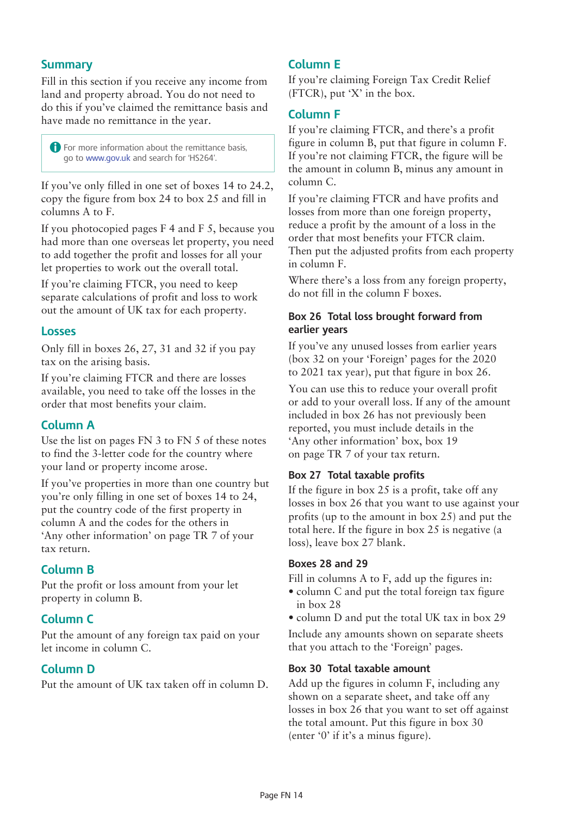# **Summary**

Fill in this section if you receive any income from land and property abroad. You do not need to do this if you've claimed the remittance basis and have made no remittance in the year.

A For more information about the remittance basis, go to www.gov.uk and search for 'HS264'.

If you've only filled in one set of boxes 14 to 24.2, copy the figure from box 24 to box 25 and fill in columns A to F.

If you photocopied pages F 4 and F 5, because you had more than one overseas let property, you need to add together the profit and losses for all your let properties to work out the overall total.

If you're claiming FTCR, you need to keep separate calculations of profit and loss to work out the amount of UK tax for each property.

## **Losses**

Only fill in boxes 26, 27, 31 and 32 if you pay tax on the arising basis.

If you're claiming FTCR and there are losses available, you need to take off the losses in the order that most benefits your claim.

# **Column A**

Use the list on pages FN 3 to FN 5 of these notes to find the 3-letter code for the country where your land or property income arose.

If you've properties in more than one country but you're only filling in one set of boxes 14 to 24, put the country code of the first property in column A and the codes for the others in 'Any other information' on page TR 7 of your tax return.

# **Column B**

Put the profit or loss amount from your let property in column B.

# **Column C**

Put the amount of any foreign tax paid on your let income in column C.

# **Column D**

Put the amount of UK tax taken off in column D.

## **Column E**

If you're claiming Foreign Tax Credit Relief (FTCR), put 'X' in the box.

## **Column F**

If you're claiming FTCR, and there's a profit figure in column B, put that figure in column F. If you're not claiming FTCR, the figure will be the amount in column B, minus any amount in column C.

If you're claiming FTCR and have profits and losses from more than one foreign property, reduce a profit by the amount of a loss in the order that most benefits your FTCR claim. Then put the adjusted profits from each property in column F.

Where there's a loss from any foreign property, do not fill in the column F boxes.

## **Box 26 Total loss brought forward from earlier years**

If you've any unused losses from earlier years (box 32 on your 'Foreign' pages for the 2020 to 2021 tax year), put that figure in box 26.

You can use this to reduce your overall profit or add to your overall loss. If any of the amount included in box 26 has not previously been reported, you must include details in the 'Any other information' box, box 19 on page TR 7 of your tax return.

## **Box 27 Total taxable profits**

If the figure in box 25 is a profit, take off any losses in box 26 that you want to use against your profits (up to the amount in box 25) and put the total here. If the figure in box 25 is negative (a loss), leave box 27 blank.

#### **Boxes 28 and 29**

Fill in columns A to F, add up the figures in:

- column C and put the total foreign tax figure in box 28
- column D and put the total UK tax in box 29

Include any amounts shown on separate sheets that you attach to the 'Foreign' pages.

## **Box 30 Total taxable amount**

Add up the figures in column F, including any shown on a separate sheet, and take off any losses in box 26 that you want to set off against the total amount. Put this figure in box 30 (enter '0' if it's a minus figure).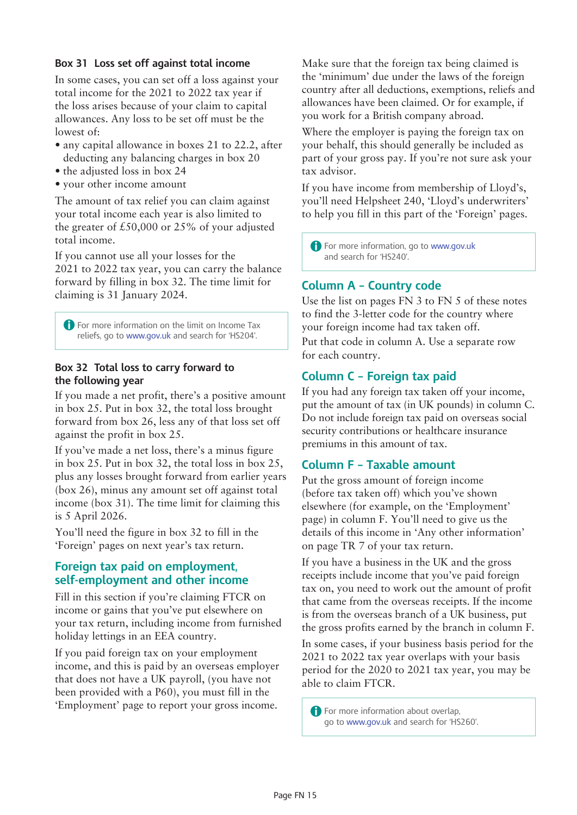#### **Box 31 Loss set off against total income**

In some cases, you can set off a loss against your total income for the 2021 to 2022 tax year if the loss arises because of your claim to capital allowances. Any loss to be set off must be the lowest of:

- any capital allowance in boxes 21 to 22.2, after deducting any balancing charges in box 20
- the adjusted loss in box 24
- • your other income amount

The amount of tax relief you can claim against your total income each year is also limited to the greater of £50,000 or 25% of your adjusted total income.

If you cannot use all your losses for the 2021 to 2022 tax year, you can carry the balance forward by filling in box 32. The time limit for claiming is 31 January 2024.

**A** For more information on the limit on Income Tax reliefs, go to www.gov.uk and search for 'HS204'.

## **Box 32 Total loss to carry forward to the following year**

If you made a net profit, there's a positive amount in box 25. Put in box 32, the total loss brought forward from box 26, less any of that loss set off against the profit in box 25.

If you've made a net loss, there's a minus figure in box 25. Put in box 32, the total loss in box 25, plus any losses brought forward from earlier years (box 26), minus any amount set off against total income (box 31). The time limit for claiming this is 5 April 2026.

You'll need the figure in box 32 to fill in the 'Foreign' pages on next year's tax return.

## **Foreign tax paid on employment, self-employment and other income**

Fill in this section if you're claiming FTCR on income or gains that you've put elsewhere on your tax return, including income from furnished holiday lettings in an EEA country.

If you paid foreign tax on your employment income, and this is paid by an overseas employer that does not have a UK payroll, (you have not been provided with a P60), you must fill in the 'Employment' page to report your gross income.

Make sure that the foreign tax being claimed is the 'minimum' due under the laws of the foreign country after all deductions, exemptions, reliefs and allowances have been claimed. Or for example, if you work for a British company abroad.

Where the employer is paying the foreign tax on your behalf, this should generally be included as part of your gross pay. If you're not sure ask your tax advisor.

If you have income from membership of Lloyd's, you'll need Helpsheet 240, 'Lloyd's underwriters' to help you fill in this part of the '[Foreign](http://www.gov.uk/government/publications/self-assessment-foreign-sa106)' pages.

A For more information, go to www.gov.uk and search for 'HS240'.

# **Column A – Country code**

Use the list on pages FN 3 to FN 5 of these notes to find the 3-letter code for the country where your foreign income had tax taken off. Put that code in column A. Use a separate row for each country.

# **Column C – Foreign tax paid**

If you had any foreign tax taken off your income, put the amount of tax (in UK pounds) in column C. Do not include foreign tax paid on overseas social security contributions or healthcare insurance premiums in this amount of tax.

# **Column F – Taxable amount**

Put the gross amount of foreign income (before tax taken off) which you've shown elsewhere (for example, on the 'Employment' page) in column F. You'll need to give us the details of this income in 'Any other information' on page TR 7 of your tax return.

If you have a business in the UK and the gross receipts include income that you've paid foreign tax on, you need to work out the amount of profit that came from the overseas receipts. If the income is from the overseas branch of a UK business, put the gross profits earned by the branch in column F.

In some cases, if your business basis period for the 2021 to 2022 tax year overlaps with your basis period for the 2020 to 2021 tax year, you may be able to claim FTCR.

**A** For more information about overlap. go to www.gov.uk and search for 'HS260'.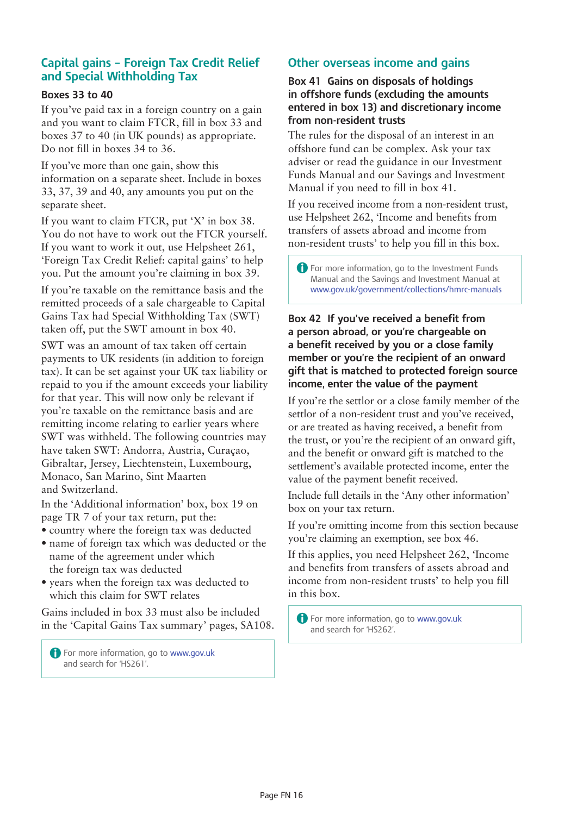# **Capital gains – Foreign Tax Credit Relief and Special Withholding Tax**

#### **Boxes 33 to 40**

If you've paid tax in a foreign country on a gain and you want to claim FTCR, fill in box 33 and boxes 37 to 40 (in UK pounds) as appropriate. Do not fill in boxes 34 to 36.

If you've more than one gain, show this information on a separate sheet. Include in boxes 33, 37, 39 and 40, any amounts you put on the separate sheet.

If you want to claim FTCR, put 'X' in box 38. You do not have to work out the FTCR yourself. If you want to work it out, use [Helpsheet](http://www.gov.uk/government/publications/foreign-tax-credit-relief-capital-gains-hs261-self-assessment-helpsheet) 261, ['Foreign](http://www.gov.uk/government/publications/foreign-tax-credit-relief-capital-gains-hs261-self-assessment-helpsheet) Tax Credit Relief: capital gains' to help you. Put the amount you're claiming in box 39.

If you're taxable on the remittance basis and the remitted proceeds of a sale chargeable to Capital Gains Tax had Special Withholding Tax (SWT) taken off, put the SWT amount in box 40.

SWT was an amount of tax taken off certain payments to UK residents (in addition to foreign tax). It can be set against your UK tax liability or repaid to you if the amount exceeds your liability for that year. This will now only be relevant if you're taxable on the remittance basis and are remitting income relating to earlier years where SWT was withheld. The following countries may have taken SWT: Andorra, Austria, Curaçao, Gibraltar, Jersey, Liechtenstein, Luxembourg, Monaco, San Marino, Sint Maarten and Switzerland.

In the 'Additional information' box, box 19 on page TR 7 of your tax return, put the:

- • country where the foreign tax was deducted
- name of foreign tax which was deducted or the name of the agreement under which the foreign tax was deducted
- • years when the foreign tax was deducted to which this claim for SWT relates

Gains included in box 33 must also be included in the 'Capital Gains Tax summary' pages, SA108.

**A** For more information, go to www.gov.uk and search for 'HS261'.

# **Other overseas income and gains**

**Box 41 Gains on disposals of holdings in offshore funds (excluding the amounts entered in box 13) and discretionary income from non-resident trusts**

The rules for the disposal of an interest in an offshore fund can be complex. Ask your tax adviser or read the guidance in our Investment Funds Manual and our Savings and Investment Manual if you need to fill in box 41.

If you received income from a non-resident trust, use [Helpsheet](http://www.gov.uk/government/publications/income-and-benefits-from-transfers-of-assets-abroad-and-income-from-non-resident-trusts-hs262-self-assessment-helpsheet) 262, 'Income and benefits from [transfers](http://www.gov.uk/government/publications/income-and-benefits-from-transfers-of-assets-abroad-and-income-from-non-resident-trusts-hs262-self-assessment-helpsheet) of assets abroad and income from [non-resident trusts'](http://www.gov.uk/government/publications/income-and-benefits-from-transfers-of-assets-abroad-and-income-from-non-resident-trusts-hs262-self-assessment-helpsheet) to help you fill in this box.

A For more information, go to the Investment Funds Manual and the Savings and Investment Manual at [www.](http://www.hmrc.gov.uk/thelibrary/manuals-a-z.htm)gov.uk/government/collections/hmrc-manuals

#### **Box 42 If you've received a benefit from a person abroad, or you're chargeable on a benefit received by you or a close family member or you're the recipient of an onward gift that is matched to protected foreign source income, enter the value of the payment**

If you're the settlor or a close family member of the settlor of a non-resident trust and you've received, or are treated as having received, a benefit from the trust, or you're the recipient of an onward gift, and the benefit or onward gift is matched to the settlement's available protected income, enter the value of the payment benefit received.

Include full details in the 'Any other information' box on your tax return.

If you're omitting income from this section because you're claiming an exemption, see box 46.

If this applies, you need Helpsheet 262, 'Income and benefits from transfers of assets abroad and income from non-resident trusts' to help you fill in this box.

A For more information, go to www.gov.uk and search for 'HS262'.